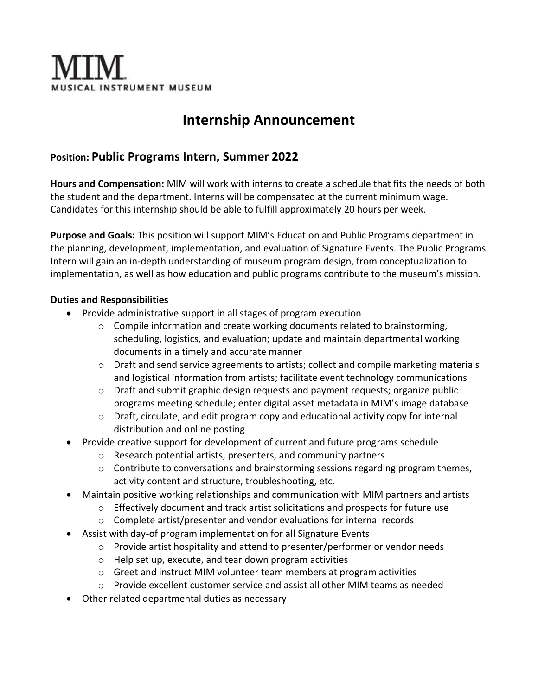

# **Internship Announcement**

# **Position: Public Programs Intern, Summer 2022**

**Hours and Compensation:** MIM will work with interns to create a schedule that fits the needs of both the student and the department. Interns will be compensated at the current minimum wage. Candidates for this internship should be able to fulfill approximately 20 hours per week.

**Purpose and Goals:** This position will support MIM's Education and Public Programs department in the planning, development, implementation, and evaluation of Signature Events. The Public Programs Intern will gain an in-depth understanding of museum program design, from conceptualization to implementation, as well as how education and public programs contribute to the museum's mission.

## **Duties and Responsibilities**

- Provide administrative support in all stages of program execution
	- $\circ$  Compile information and create working documents related to brainstorming, scheduling, logistics, and evaluation; update and maintain departmental working documents in a timely and accurate manner
	- o Draft and send service agreements to artists; collect and compile marketing materials and logistical information from artists; facilitate event technology communications
	- o Draft and submit graphic design requests and payment requests; organize public programs meeting schedule; enter digital asset metadata in MIM's image database
	- o Draft, circulate, and edit program copy and educational activity copy for internal distribution and online posting
- Provide creative support for development of current and future programs schedule
	- o Research potential artists, presenters, and community partners
	- o Contribute to conversations and brainstorming sessions regarding program themes, activity content and structure, troubleshooting, etc.
- Maintain positive working relationships and communication with MIM partners and artists
	- $\circ$  Effectively document and track artist solicitations and prospects for future use
	- o Complete artist/presenter and vendor evaluations for internal records
- Assist with day-of program implementation for all Signature Events
	- $\circ$  Provide artist hospitality and attend to presenter/performer or vendor needs
	- o Help set up, execute, and tear down program activities
	- $\circ$  Greet and instruct MIM volunteer team members at program activities
	- o Provide excellent customer service and assist all other MIM teams as needed
- Other related departmental duties as necessary